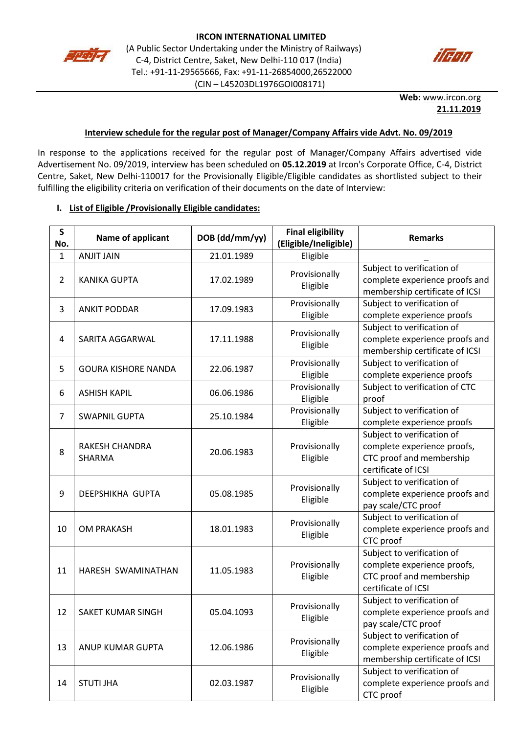



**Web:** [www.ircon.org](http://www.ircon.org/) **21.11.2019**

### **Interview schedule for the regular post of Manager/Company Affairs vide Advt. No. 09/2019**

In response to the applications received for the regular post of Manager/Company Affairs advertised vide Advertisement No. 09/2019, interview has been scheduled on **05.12.2019** at Ircon's Corporate Office, C-4, District Centre, Saket, New Delhi-110017 for the Provisionally Eligible/Eligible candidates as shortlisted subject to their fulfilling the eligibility criteria on verification of their documents on the date of Interview:

### **I. List of Eligible /Provisionally Eligible candidates:**

| $\mathsf{s}$<br>No. | Name of applicant               | DOB (dd/mm/yy) | <b>Final eligibility</b><br>(Eligible/Ineligible) | <b>Remarks</b>                                                                                               |
|---------------------|---------------------------------|----------------|---------------------------------------------------|--------------------------------------------------------------------------------------------------------------|
| 1                   | <b>ANJIT JAIN</b>               | 21.01.1989     | Eligible                                          |                                                                                                              |
| $\overline{2}$      | <b>KANIKA GUPTA</b>             | 17.02.1989     | Provisionally<br>Eligible                         | Subject to verification of<br>complete experience proofs and<br>membership certificate of ICSI               |
| 3                   | <b>ANKIT PODDAR</b>             | 17.09.1983     | Provisionally<br>Eligible                         | Subject to verification of<br>complete experience proofs                                                     |
| 4                   | SARITA AGGARWAL                 | 17.11.1988     | Provisionally<br>Eligible                         | Subject to verification of<br>complete experience proofs and<br>membership certificate of ICSI               |
| 5                   | <b>GOURA KISHORE NANDA</b>      | 22.06.1987     | Provisionally<br>Eligible                         | Subject to verification of<br>complete experience proofs                                                     |
| 6                   | <b>ASHISH KAPIL</b>             | 06.06.1986     | Provisionally<br>Eligible                         | Subject to verification of CTC<br>proof                                                                      |
| $\overline{7}$      | <b>SWAPNIL GUPTA</b>            | 25.10.1984     | Provisionally<br>Eligible                         | Subject to verification of<br>complete experience proofs                                                     |
| 8                   | RAKESH CHANDRA<br><b>SHARMA</b> | 20.06.1983     | Provisionally<br>Eligible                         | Subject to verification of<br>complete experience proofs,<br>CTC proof and membership<br>certificate of ICSI |
| 9                   | DEEPSHIKHA GUPTA                | 05.08.1985     | Provisionally<br>Eligible                         | Subject to verification of<br>complete experience proofs and<br>pay scale/CTC proof                          |
| 10                  | <b>OM PRAKASH</b>               | 18.01.1983     | Provisionally<br>Eligible                         | Subject to verification of<br>complete experience proofs and<br>CTC proof                                    |
| 11                  | HARESH SWAMINATHAN              | 11.05.1983     | Provisionally<br>Eligible                         | Subject to verification of<br>complete experience proofs,<br>CTC proof and membership<br>certificate of ICSI |
| 12                  | SAKET KUMAR SINGH               | 05.04.1093     | Provisionally<br>Eligible                         | Subject to verification of<br>complete experience proofs and<br>pay scale/CTC proof                          |
| 13                  | ANUP KUMAR GUPTA                | 12.06.1986     | Provisionally<br>Eligible                         | Subject to verification of<br>complete experience proofs and<br>membership certificate of ICSI               |
| 14                  | <b>STUTI JHA</b>                | 02.03.1987     | Provisionally<br>Eligible                         | Subject to verification of<br>complete experience proofs and<br>CTC proof                                    |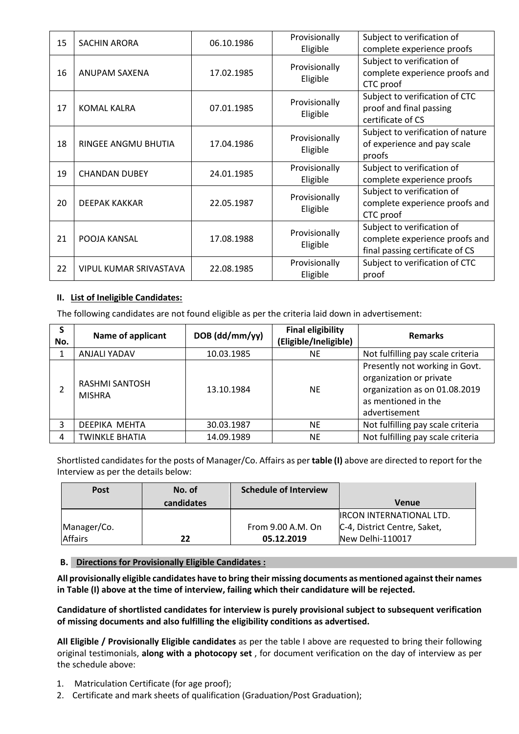| 15 | <b>SACHIN ARORA</b>    | 06.10.1986 | Provisionally<br>Eligible | Subject to verification of<br>complete experience proofs                                        |
|----|------------------------|------------|---------------------------|-------------------------------------------------------------------------------------------------|
| 16 | ANUPAM SAXENA          | 17.02.1985 | Provisionally<br>Eligible | Subject to verification of<br>complete experience proofs and<br>CTC proof                       |
| 17 | <b>KOMAL KALRA</b>     | 07.01.1985 | Provisionally<br>Eligible | Subject to verification of CTC<br>proof and final passing<br>certificate of CS                  |
| 18 | RINGEE ANGMU BHUTIA    | 17.04.1986 | Provisionally<br>Eligible | Subject to verification of nature<br>of experience and pay scale<br>proofs                      |
| 19 | <b>CHANDAN DUBEY</b>   | 24.01.1985 | Provisionally<br>Eligible | Subject to verification of<br>complete experience proofs                                        |
| 20 | DEEPAK KAKKAR          | 22.05.1987 | Provisionally<br>Eligible | Subject to verification of<br>complete experience proofs and<br>CTC proof                       |
| 21 | POOJA KANSAL           | 17.08.1988 | Provisionally<br>Eligible | Subject to verification of<br>complete experience proofs and<br>final passing certificate of CS |
| 22 | VIPUL KUMAR SRIVASTAVA | 22.08.1985 | Provisionally<br>Eligible | Subject to verification of CTC<br>proof                                                         |

## **II. List of Ineligible Candidates:**

The following candidates are not found eligible as per the criteria laid down in advertisement:

| S<br>No. | <b>Name of applicant</b>        | DOB (dd/mm/yy) | <b>Final eligibility</b><br>(Eligible/Ineligible) | <b>Remarks</b>                                                                                                                     |
|----------|---------------------------------|----------------|---------------------------------------------------|------------------------------------------------------------------------------------------------------------------------------------|
|          | <b>ANJALI YADAV</b>             | 10.03.1985     | <b>NE</b>                                         | Not fulfilling pay scale criteria                                                                                                  |
|          | RASHMI SANTOSH<br><b>MISHRA</b> | 13.10.1984     | <b>NE</b>                                         | Presently not working in Govt.<br>organization or private<br>organization as on 01.08.2019<br>as mentioned in the<br>advertisement |
| 3        | DEEPIKA MEHTA                   | 30.03.1987     | <b>NE</b>                                         | Not fulfilling pay scale criteria                                                                                                  |
|          | <b>TWINKLE BHATIA</b>           | 14.09.1989     | <b>NE</b>                                         | Not fulfilling pay scale criteria                                                                                                  |

Shortlisted candidates for the posts of Manager/Co. Affairs as per **table (I)** above are directed to report for the Interview as per the details below:

| <b>Post</b>    | No. of     | <b>Schedule of Interview</b> |                                 |
|----------------|------------|------------------------------|---------------------------------|
|                | candidates |                              | <b>Venue</b>                    |
|                |            |                              | <b>IRCON INTERNATIONAL LTD.</b> |
| Manager/Co.    |            | From 9.00 A.M. On            | C-4, District Centre, Saket,    |
| <b>Affairs</b> | 22         | 05.12.2019                   | New Delhi-110017                |

### **B. Directions for Provisionally Eligible Candidates :**

**All provisionally eligible candidates have to bring their missing documents as mentioned against their names in Table (I) above at the time of interview, failing which their candidature will be rejected.**

**Candidature of shortlisted candidates for interview is purely provisional subject to subsequent verification of missing documents and also fulfilling the eligibility conditions as advertised.**

**All Eligible / Provisionally Eligible candidates** as per the table I above are requested to bring their following original testimonials, **along with a photocopy set** , for document verification on the day of interview as per the schedule above:

- 1. Matriculation Certificate (for age proof);
- 2. Certificate and mark sheets of qualification (Graduation/Post Graduation);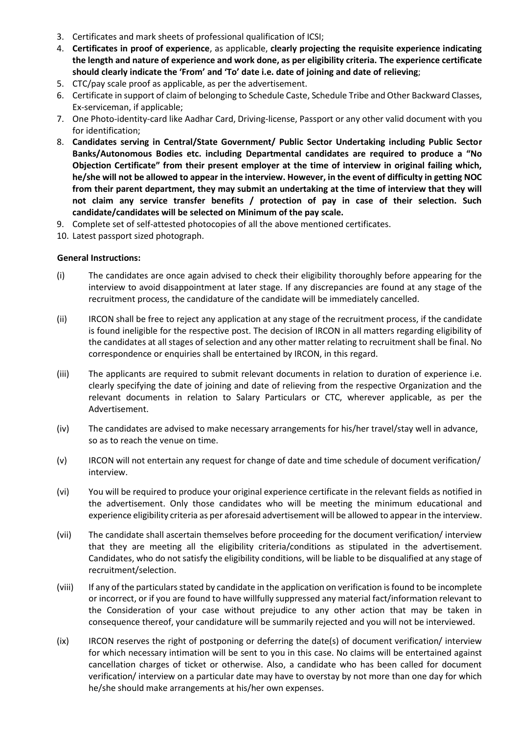- 3. Certificates and mark sheets of professional qualification of ICSI;
- 4. **Certificates in proof of experience**, as applicable, **clearly projecting the requisite experience indicating the length and nature of experience and work done, as per eligibility criteria. The experience certificate should clearly indicate the 'From' and 'To' date i.e. date of joining and date of relieving**;
- 5. CTC/pay scale proof as applicable, as per the advertisement.
- 6. Certificate in support of claim of belonging to Schedule Caste, Schedule Tribe and Other Backward Classes, Ex-serviceman, if applicable;
- 7. One Photo-identity-card like Aadhar Card, Driving-license, Passport or any other valid document with you for identification;
- 8. **Candidates serving in Central/State Government/ Public Sector Undertaking including Public Sector Banks/Autonomous Bodies etc. including Departmental candidates are required to produce a "No Objection Certificate" from their present employer at the time of interview in original failing which, he/she will not be allowed to appear in the interview. However, in the event of difficulty in getting NOC from their parent department, they may submit an undertaking at the time of interview that they will not claim any service transfer benefits / protection of pay in case of their selection. Such candidate/candidates will be selected on Minimum of the pay scale.**
- 9. Complete set of self-attested photocopies of all the above mentioned certificates.
- 10. Latest passport sized photograph.

### **General Instructions:**

- (i) The candidates are once again advised to check their eligibility thoroughly before appearing for the interview to avoid disappointment at later stage. If any discrepancies are found at any stage of the recruitment process, the candidature of the candidate will be immediately cancelled.
- (ii) IRCON shall be free to reject any application at any stage of the recruitment process, if the candidate is found ineligible for the respective post. The decision of IRCON in all matters regarding eligibility of the candidates at all stages of selection and any other matter relating to recruitment shall be final. No correspondence or enquiries shall be entertained by IRCON, in this regard.
- (iii) The applicants are required to submit relevant documents in relation to duration of experience i.e. clearly specifying the date of joining and date of relieving from the respective Organization and the relevant documents in relation to Salary Particulars or CTC, wherever applicable, as per the Advertisement.
- (iv) The candidates are advised to make necessary arrangements for his/her travel/stay well in advance, so as to reach the venue on time.
- (v) IRCON will not entertain any request for change of date and time schedule of document verification/ interview.
- (vi) You will be required to produce your original experience certificate in the relevant fields as notified in the advertisement. Only those candidates who will be meeting the minimum educational and experience eligibility criteria as per aforesaid advertisement will be allowed to appear in the interview.
- (vii) The candidate shall ascertain themselves before proceeding for the document verification/ interview that they are meeting all the eligibility criteria/conditions as stipulated in the advertisement. Candidates, who do not satisfy the eligibility conditions, will be liable to be disqualified at any stage of recruitment/selection.
- (viii) If any of the particulars stated by candidate in the application on verification is found to be incomplete or incorrect, or if you are found to have willfully suppressed any material fact/information relevant to the Consideration of your case without prejudice to any other action that may be taken in consequence thereof, your candidature will be summarily rejected and you will not be interviewed.
- (ix) IRCON reserves the right of postponing or deferring the date(s) of document verification/ interview for which necessary intimation will be sent to you in this case. No claims will be entertained against cancellation charges of ticket or otherwise. Also, a candidate who has been called for document verification/ interview on a particular date may have to overstay by not more than one day for which he/she should make arrangements at his/her own expenses.